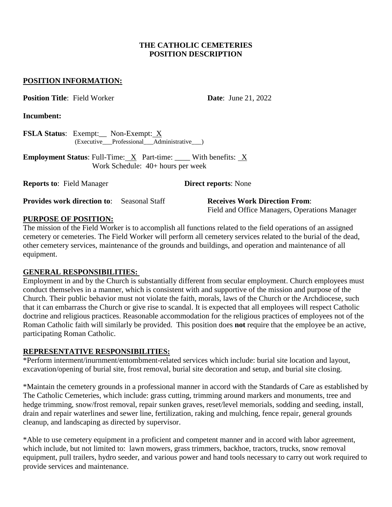#### **THE CATHOLIC CEMETERIES POSITION DESCRIPTION**

#### **POSITION INFORMATION:**

**Position Title**: Field Worker **Date**: June 21, 2022

**Incumbent:** 

**FSLA Status**: Exempt:\_\_ Non-Exempt: X (Executive\_\_\_Professional\_\_\_Administrative\_\_\_)

**Employment Status:** Full-Time:  $X$  Part-time: With benefits:  $X$ Work Schedule: 40+ hours per week

**Reports to**: Field Manager **Direct reports**: None

**Provides work direction to**: Seasonal Staff **Receives Work Direction From**:

Field and Office Managers, Operations Manager

#### **PURPOSE OF POSITION:**

The mission of the Field Worker is to accomplish all functions related to the field operations of an assigned cemetery or cemeteries. The Field Worker will perform all cemetery services related to the burial of the dead, other cemetery services, maintenance of the grounds and buildings, and operation and maintenance of all equipment.

## **GENERAL RESPONSIBILITIES:**

Employment in and by the Church is substantially different from secular employment. Church employees must conduct themselves in a manner, which is consistent with and supportive of the mission and purpose of the Church. Their public behavior must not violate the faith, morals, laws of the Church or the Archdiocese, such that it can embarrass the Church or give rise to scandal. It is expected that all employees will respect Catholic doctrine and religious practices. Reasonable accommodation for the religious practices of employees not of the Roman Catholic faith will similarly be provided. This position does **not** require that the employee be an active, participating Roman Catholic.

## **REPRESENTATIVE RESPONSIBILITIES:**

\*Perform interment/inurnment/entombment-related services which include: burial site location and layout, excavation/opening of burial site, frost removal, burial site decoration and setup, and burial site closing.

\*Maintain the cemetery grounds in a professional manner in accord with the Standards of Care as established by The Catholic Cemeteries, which include: grass cutting, trimming around markers and monuments, tree and hedge trimming, snow/frost removal, repair sunken graves, reset/level memorials, sodding and seeding, install, drain and repair waterlines and sewer line, fertilization, raking and mulching, fence repair, general grounds cleanup, and landscaping as directed by supervisor.

\*Able to use cemetery equipment in a proficient and competent manner and in accord with labor agreement, which include, but not limited to: lawn mowers, grass trimmers, backhoe, tractors, trucks, snow removal equipment, pull trailers, hydro seeder, and various power and hand tools necessary to carry out work required to provide services and maintenance.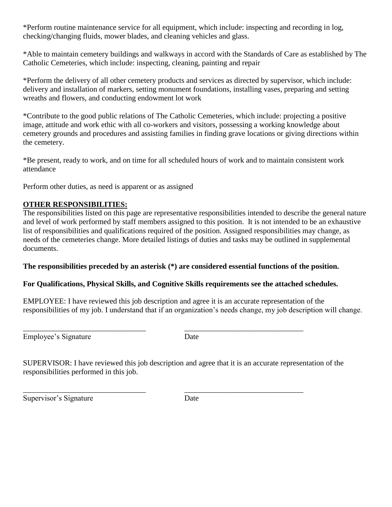\*Perform routine maintenance service for all equipment, which include: inspecting and recording in log, checking/changing fluids, mower blades, and cleaning vehicles and glass.

\*Able to maintain cemetery buildings and walkways in accord with the Standards of Care as established by The Catholic Cemeteries, which include: inspecting, cleaning, painting and repair

\*Perform the delivery of all other cemetery products and services as directed by supervisor, which include: delivery and installation of markers, setting monument foundations, installing vases, preparing and setting wreaths and flowers, and conducting endowment lot work

\*Contribute to the good public relations of The Catholic Cemeteries, which include: projecting a positive image, attitude and work ethic with all co-workers and visitors, possessing a working knowledge about cemetery grounds and procedures and assisting families in finding grave locations or giving directions within the cemetery.

\*Be present, ready to work, and on time for all scheduled hours of work and to maintain consistent work attendance

Perform other duties, as need is apparent or as assigned

# **OTHER RESPONSIBILITIES:**

The responsibilities listed on this page are representative responsibilities intended to describe the general nature and level of work performed by staff members assigned to this position. It is not intended to be an exhaustive list of responsibilities and qualifications required of the position. Assigned responsibilities may change, as needs of the cemeteries change. More detailed listings of duties and tasks may be outlined in supplemental documents.

## **The responsibilities preceded by an asterisk (\*) are considered essential functions of the position.**

# **For Qualifications, Physical Skills, and Cognitive Skills requirements see the attached schedules.**

EMPLOYEE: I have reviewed this job description and agree it is an accurate representation of the responsibilities of my job. I understand that if an organization's needs change, my job description will change.

Employee's Signature Date

\_\_\_\_\_\_\_\_\_\_\_\_\_\_\_\_\_\_\_\_\_\_\_\_\_\_\_\_\_\_\_\_ \_\_\_\_\_\_\_\_\_\_\_\_\_\_\_\_\_\_\_\_\_\_\_\_\_\_\_\_\_\_\_

SUPERVISOR: I have reviewed this job description and agree that it is an accurate representation of the responsibilities performed in this job.

\_\_\_\_\_\_\_\_\_\_\_\_\_\_\_\_\_\_\_\_\_\_\_\_\_\_\_\_\_\_\_\_ \_\_\_\_\_\_\_\_\_\_\_\_\_\_\_\_\_\_\_\_\_\_\_\_\_\_\_\_\_\_\_

Supervisor's Signature Date